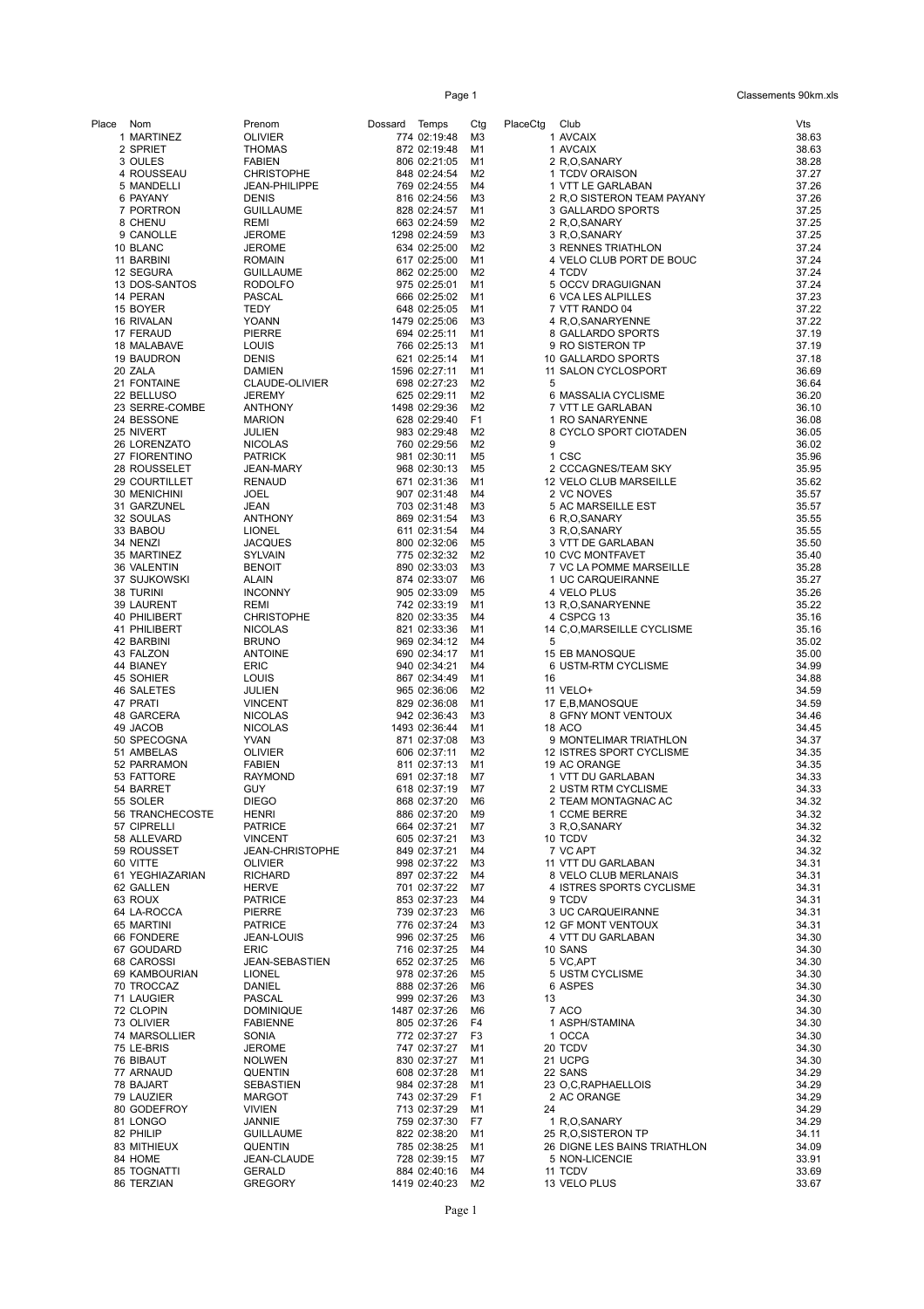Page 1 Classements 90km.xls

| Place | Nom                           | Prenom                             | Dossard Temps |                               | Ctg                              | PlaceCtg | Club                                               | Vts            |
|-------|-------------------------------|------------------------------------|---------------|-------------------------------|----------------------------------|----------|----------------------------------------------------|----------------|
|       | 1 MARTINEZ                    | <b>OLIVIER</b>                     |               | 774 02:19:48                  | M3                               |          | 1 AVCAIX                                           | 38.63          |
|       | 2 SPRIET                      | <b>THOMAS</b>                      |               | 872 02:19:48                  | M1                               |          | 1 AVCAIX                                           | 38.63          |
|       | 3 OULES                       | <b>FABIEN</b>                      |               | 806 02:21:05                  | M1                               |          | 2 R,O,SANARY                                       | 38.28          |
|       | 4 ROUSSEAU                    | <b>CHRISTOPHE</b>                  |               | 848 02:24:54                  | M2                               |          | 1 TCDV ORAISON                                     | 37.27          |
|       | 5 MANDELLI                    | JEAN-PHILIPPE                      |               | 769 02:24:55                  | M4                               |          | 1 VTT LE GARLABAN                                  | 37.26          |
|       | 6 PAYANY                      | <b>DENIS</b>                       |               | 816 02:24:56                  | M3                               |          | 2 R,O SISTERON TEAM PAYANY                         | 37.26          |
|       | 7 PORTRON                     | <b>GUILLAUME</b>                   |               | 828 02:24:57                  | M1                               |          | 3 GALLARDO SPORTS                                  | 37.25          |
|       | 8 CHENU                       | REMI                               |               | 663 02:24:59                  | M2                               |          | 2 R,O,SANARY                                       | 37.25          |
|       | 9 CANOLLE<br>10 BLANC         | <b>JEROME</b><br><b>JEROME</b>     |               | 1298 02:24:59<br>634 02:25:00 | M <sub>3</sub><br>M <sub>2</sub> |          | 3 R,O,SANARY<br>3 RENNES TRIATHLON                 | 37.25<br>37.24 |
|       | 11 BARBINI                    | <b>ROMAIN</b>                      |               | 617 02:25:00                  | M1                               |          | 4 VELO CLUB PORT DE BOUC                           | 37.24          |
|       | 12 SEGURA                     | <b>GUILLAUME</b>                   |               | 862 02:25:00                  | M <sub>2</sub>                   |          | 4 TCDV                                             | 37.24          |
|       | 13 DOS-SANTOS                 | <b>RODOLFO</b>                     |               | 975 02:25:01                  | M1                               |          | 5 OCCV DRAGUIGNAN                                  | 37.24          |
|       | 14 PERAN                      | PASCAL                             |               | 666 02:25:02                  | M1                               |          | 6 VCA LES ALPILLES                                 | 37.23          |
|       | 15 BOYER                      | <b>TEDY</b>                        |               | 648 02:25:05                  | M1                               |          | 7 VTT RANDO 04                                     | 37.22          |
|       | 16 RIVALAN                    | YOANN                              |               | 1479 02:25:06                 | M <sub>3</sub>                   |          | 4 R,O,SANARYENNE                                   | 37.22          |
|       | 17 FERAUD                     | PIERRE                             |               | 694 02:25:11                  | M1                               |          | 8 GALLARDO SPORTS                                  | 37.19          |
|       | 18 MALABAVE                   | <b>LOUIS</b>                       |               | 766 02:25:13                  | M1                               |          | 9 RO SISTERON TP                                   | 37.19          |
|       | 19 BAUDRON                    | <b>DENIS</b>                       |               | 621 02:25:14                  | M1                               |          | 10 GALLARDO SPORTS                                 | 37.18          |
|       | 20 ZALA                       | <b>DAMIEN</b>                      |               | 1596 02:27:11                 | M1                               |          | 11 SALON CYCLOSPORT                                | 36.69          |
|       | 21 FONTAINE                   | CLAUDE-OLIVIER                     |               | 698 02:27:23                  | M2                               | 5        |                                                    | 36.64          |
|       | 22 BELLUSO                    | <b>JEREMY</b>                      |               | 625 02:29:11                  | M <sub>2</sub>                   |          | 6 MASSALIA CYCLISME                                | 36.20          |
|       | 23 SERRE-COMBE                | <b>ANTHONY</b>                     |               | 1498 02:29:36                 | M <sub>2</sub>                   |          | 7 VTT LE GARLABAN                                  | 36.10          |
|       | 24 BESSONE                    | <b>MARION</b>                      |               | 628 02:29:40                  | F <sub>1</sub>                   |          | 1 RO SANARYENNE                                    | 36.08          |
|       | 25 NIVERT                     | JULIEN                             |               | 983 02:29:48                  | M <sub>2</sub>                   |          | 8 CYCLO SPORT CIOTADEN                             | 36.05          |
|       | 26 LORENZATO                  | <b>NICOLAS</b>                     |               | 760 02:29:56                  | M <sub>2</sub>                   | 9        |                                                    | 36.02          |
|       | 27 FIORENTINO                 | <b>PATRICK</b>                     |               | 981 02:30:11                  | M <sub>5</sub>                   |          | 1 CSC                                              | 35.96          |
|       | 28 ROUSSELET                  | JEAN-MARY<br><b>RENAUD</b>         |               | 968 02:30:13<br>671 02:31:36  | M <sub>5</sub><br>M1             |          | 2 CCCAGNES/TEAM SKY                                | 35.95<br>35.62 |
|       | 29 COURTILLET<br>30 MENICHINI | <b>JOEL</b>                        |               | 907 02:31:48                  | M4                               |          | 12 VELO CLUB MARSEILLE<br>2 VC NOVES               | 35.57          |
|       | 31 GARZUNEL                   | JEAN                               |               | 703 02:31:48                  | M <sub>3</sub>                   |          | 5 AC MARSEILLE EST                                 | 35.57          |
|       | 32 SOULAS                     | <b>ANTHONY</b>                     |               | 869 02:31:54                  | M3                               |          | 6 R,O,SANARY                                       | 35.55          |
|       | 33 BABOU                      | <b>LIONEL</b>                      |               | 611 02:31:54                  | M4                               |          | 3 R,O,SANARY                                       | 35.55          |
|       | 34 NENZI                      | <b>JACQUES</b>                     |               | 800 02:32:06                  | M <sub>5</sub>                   |          | 3 VTT DE GARLABAN                                  | 35.50          |
|       | 35 MARTINEZ                   | <b>SYLVAIN</b>                     |               | 775 02:32:32                  | M <sub>2</sub>                   |          | 10 CVC MONTFAVET                                   | 35.40          |
|       | 36 VALENTIN                   | <b>BENOIT</b>                      |               | 890 02:33:03                  | M <sub>3</sub>                   |          | 7 VC LA POMME MARSEILLE                            | 35.28          |
|       | 37 SUJKOWSKI                  | <b>ALAIN</b>                       |               | 874 02:33:07                  | M <sub>6</sub>                   |          | 1 UC CARQUEIRANNE                                  | 35.27          |
|       | 38 TURINI                     | <b>INCONNY</b>                     |               | 905 02:33:09                  | M <sub>5</sub>                   |          | 4 VELO PLUS                                        | 35.26          |
|       | 39 LAURENT                    | REMI                               |               | 742 02:33:19                  | M1                               |          | 13 R,O,SANARYENNE                                  | 35.22          |
|       | <b>40 PHILIBERT</b>           | <b>CHRISTOPHE</b>                  |               | 820 02:33:35                  | M4                               |          | 4 CSPCG 13                                         | 35.16          |
|       | 41 PHILIBERT                  | <b>NICOLAS</b>                     |               | 821 02:33:36                  | M1                               |          | 14 C,O,MARSEILLE CYCLISME                          | 35.16          |
|       | 42 BARBINI                    | <b>BRUNO</b>                       |               | 969 02:34:12                  | M4                               | 5        |                                                    | 35.02          |
|       | 43 FALZON                     | <b>ANTOINE</b>                     |               | 690 02:34:17                  | M1                               |          | 15 EB MANOSQUE                                     | 35.00          |
|       | 44 BIANEY                     | <b>ERIC</b>                        |               | 940 02:34:21                  | M4                               |          | 6 USTM-RTM CYCLISME                                | 34.99          |
|       | 45 SOHIER                     | LOUIS                              |               | 867 02:34:49                  | M <sub>1</sub>                   | 16       |                                                    | 34.88          |
|       | 46 SALETES                    | JULIEN                             |               | 965 02:36:06                  | M <sub>2</sub><br>M1             |          | 11 VELO+                                           | 34.59<br>34.59 |
|       | 47 PRATI<br>48 GARCERA        | <b>VINCENT</b><br><b>NICOLAS</b>   |               | 829 02:36:08<br>942 02:36:43  | M3                               |          | 17 E,B,MANOSQUE<br>8 GFNY MONT VENTOUX             | 34.46          |
|       | 49 JACOB                      | <b>NICOLAS</b>                     |               | 1493 02:36:44                 | M1                               |          | 18 ACO                                             | 34.45          |
|       | 50 SPECOGNA                   | <b>YVAN</b>                        |               | 871 02:37:08                  | M <sub>3</sub>                   |          | 9 MONTELIMAR TRIATHLON                             | 34.37          |
|       | 51 AMBELAS                    | <b>OLIVIER</b>                     |               | 606 02:37:11                  | M2                               |          | 12 ISTRES SPORT CYCLISME                           | 34.35          |
|       | 52 PARRAMON                   | <b>FABIEN</b>                      |               | 811 02:37:13                  | M1                               |          | 19 AC ORANGE                                       | 34.35          |
|       | 53 FATTORE                    | <b>RAYMOND</b>                     |               | 691 02:37:18                  | M7                               |          | 1 VTT DU GARLABAN                                  | 34.33          |
|       | 54 BARRET                     | <b>GUY</b>                         |               | 618 02:37:19                  | M7                               |          | 2 USTM RTM CYCLISME                                | 34.33          |
|       | 55 SOLER                      | <b>DIEGO</b>                       |               | 868 02:37:20                  | M6                               |          | 2 TEAM MONTAGNAC AC                                | 34.32          |
|       | 56 TRANCHECOSTE               | HENRI                              |               | 886 02:37:20                  | M9                               |          | 1 CCME BERRE                                       | 34.32          |
|       | 57 CIPRELLI                   | <b>PATRICE</b>                     |               | 664 02:37:21                  | M7                               |          | 3 R.O.SANARY                                       | 34.32          |
|       | 58 ALLEVARD                   | <b>VINCENT</b>                     |               | 605 02:37:21                  | M3                               |          | 10 TCDV                                            | 34.32          |
|       | 59 ROUSSET                    | JEAN-CHRISTOPHE                    |               | 849 02:37:21                  | M4                               |          | 7 VC APT                                           | 34.32          |
|       | 60 VITTE                      | <b>OLIVIER</b>                     |               | 998 02:37:22                  | M3                               |          | 11 VTT DU GARLABAN                                 | 34.31          |
|       | 61 YEGHIAZARIAN               | <b>RICHARD</b>                     |               | 897 02:37:22                  | M4                               |          | 8 VELO CLUB MERLANAIS                              | 34.31          |
|       | 62 GALLEN                     | <b>HERVE</b>                       |               | 701 02:37:22                  | M7                               |          | 4 ISTRES SPORTS CYCLISME                           | 34.31          |
|       | 63 ROUX                       | <b>PATRICE</b>                     |               | 853 02:37:23                  | M4<br>M6                         |          | 9 TCDV                                             | 34.31<br>34.31 |
|       | 64 LA-ROCCA<br>65 MARTINI     | PIERRE<br><b>PATRICE</b>           |               | 739 02:37:23<br>776 02:37:24  | M3                               |          | 3 UC CARQUEIRANNE<br>12 GF MONT VENTOUX            | 34.31          |
|       | 66 FONDERE                    | <b>JEAN-LOUIS</b>                  |               | 996 02:37:25                  | M6                               |          | 4 VTT DU GARLABAN                                  | 34.30          |
|       | 67 GOUDARD                    | ERIC                               |               | 716 02:37:25                  | M4                               |          | 10 SANS                                            | 34.30          |
|       | 68 CAROSSI                    | JEAN-SEBASTIEN                     |               | 652 02:37:25                  | M6                               |          | 5 VC, APT                                          | 34.30          |
|       | 69 KAMBOURIAN                 | <b>LIONEL</b>                      |               | 978 02:37:26                  | M <sub>5</sub>                   |          | 5 USTM CYCLISME                                    | 34.30          |
|       | 70 TROCCAZ                    | DANIEL                             |               | 888 02:37:26                  | M6                               |          | 6 ASPES                                            | 34.30          |
|       | 71 LAUGIER                    | <b>PASCAL</b>                      |               | 999 02:37:26                  | M3                               | 13       |                                                    | 34.30          |
|       | 72 CLOPIN                     | <b>DOMINIQUE</b>                   |               | 1487 02:37:26                 | M6                               |          | 7 ACO                                              | 34.30          |
|       | 73 OLIVIER                    | <b>FABIENNE</b>                    |               | 805 02:37:26                  | F4                               |          | 1 ASPH/STAMINA                                     | 34.30          |
|       | 74 MARSOLLIER                 | SONIA                              |               | 772 02:37:27                  | F <sub>3</sub>                   |          | 1 OCCA                                             | 34.30          |
|       | 75 LE-BRIS                    | <b>JEROME</b>                      |               | 747 02:37:27                  | M1                               |          | 20 TCDV                                            | 34.30          |
|       | 76 BIBAUT                     | <b>NOLWEN</b>                      |               | 830 02:37:27                  | M1                               |          | 21 UCPG                                            | 34.30          |
|       | 77 ARNAUD                     | <b>QUENTIN</b>                     |               | 608 02:37:28                  | M1                               |          | 22 SANS                                            | 34.29          |
|       | 78 BAJART                     | SEBASTIEN                          |               | 984 02:37:28                  | M1                               |          | 23 O,C,RAPHAELLOIS                                 | 34.29          |
|       | 79 LAUZIER                    | <b>MARGOT</b>                      |               | 743 02:37:29                  | F <sub>1</sub>                   |          | 2 AC ORANGE                                        | 34.29          |
|       | 80 GODEFROY                   | <b>VIVIEN</b>                      |               | 713 02:37:29                  | M1                               | 24       |                                                    | 34.29          |
|       | 81 LONGO                      | JANNIE                             |               | 759 02:37:30                  | F7                               |          | 1 R.O.SANARY                                       | 34.29<br>34.11 |
|       | 82 PHILIP<br>83 MITHIEUX      | <b>GUILLAUME</b><br><b>QUENTIN</b> |               | 822 02:38:20<br>785 02:38:25  | M1<br>M1                         |          | 25 R,O,SISTERON TP<br>26 DIGNE LES BAINS TRIATHLON | 34.09          |
|       | 84 HOME                       | JEAN-CLAUDE                        |               | 728 02:39:15                  | M7                               |          | 5 NON-LICENCIE                                     | 33.91          |
|       | 85 TOGNATTI                   | <b>GERALD</b>                      |               | 884 02:40:16                  | M4                               |          | 11 TCDV                                            | 33.69          |
|       | 86 TERZIAN                    | <b>GREGORY</b>                     |               | 1419 02:40:23                 | M2                               |          | 13 VELO PLUS                                       | 33.67          |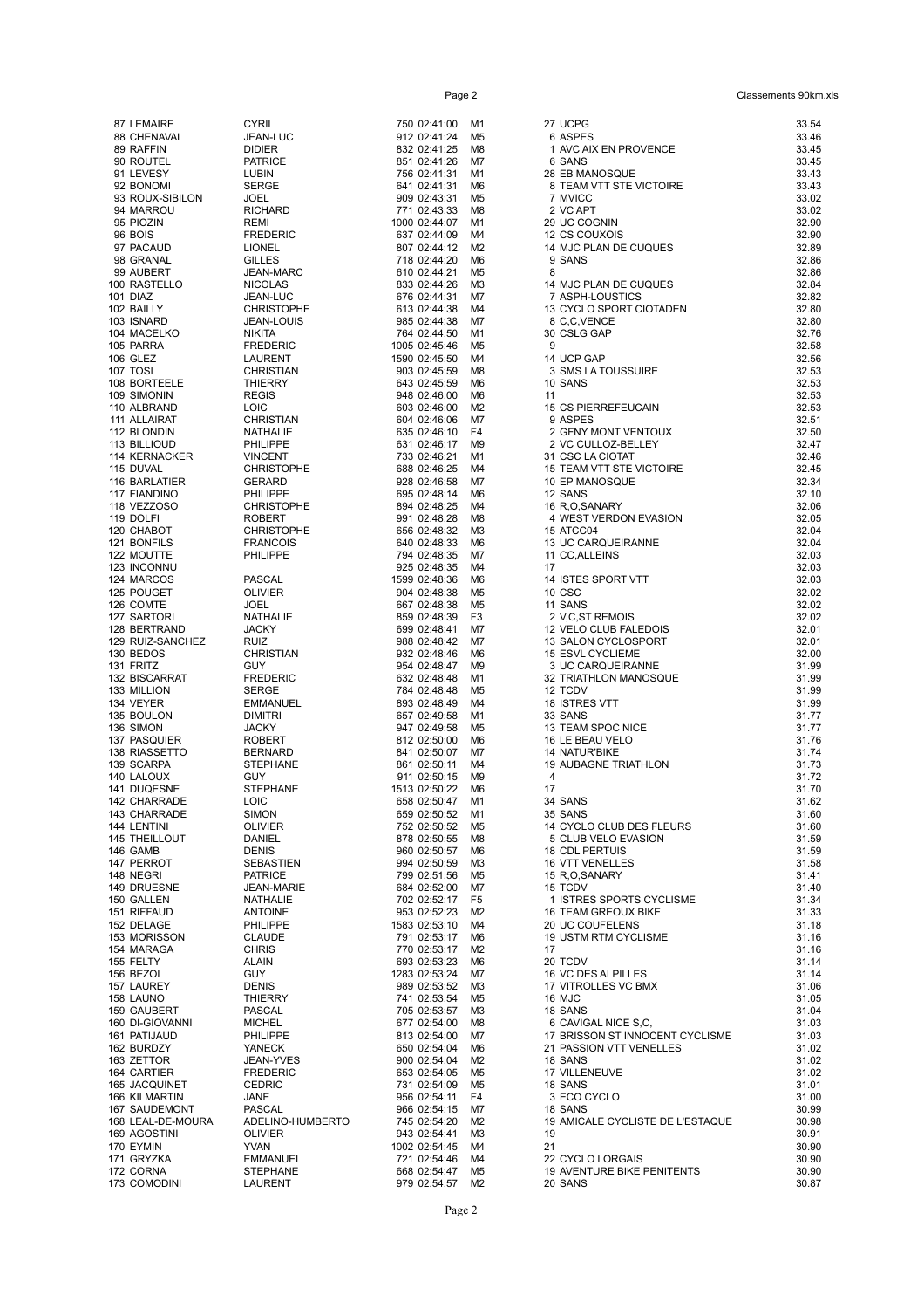| 87         | <b>LEMAIRE</b>                  |
|------------|---------------------------------|
| 88         | CHENAVAL                        |
| 89         | <b>RAFFIN</b>                   |
| 90         | <b>ROUTEL</b>                   |
| 91         | LEVESY                          |
| 92         | <b>BONOMI</b>                   |
| 93         | ROUX-SIBILON                    |
| 94         | <b>MARROU</b>                   |
| 95<br>96   | <b>PIOZIN</b><br><b>BOIS</b>    |
| 97         | <b>PACAUD</b>                   |
| 98         | <b>GRANAL</b>                   |
| 99         | <b>AUBERT</b>                   |
| 100        | RASTELLO                        |
| 101        | <b>DIAZ</b>                     |
| 102        | <b>BAILLY</b>                   |
| 103        | <b>ISNARD</b>                   |
| 104        | <b>MACELKO</b>                  |
| 105        | <b>PARRA</b>                    |
| 106        | <b>GLEZ</b>                     |
|            | 107 TOSI                        |
| 108        | <b>BORTEELE</b>                 |
| 109<br>110 | SIMONIN<br><b>ALBRAND</b>       |
| 111        | <b>ALLAIRAT</b>                 |
| 112        | <b>BLONDIN</b>                  |
| 113        | <b>BILLIOUD</b>                 |
| 114        | <b>KERNACKER</b>                |
| 115        | <b>DUVAL</b>                    |
| 116        | <b>BARLATIER</b>                |
| 117        | <b>FIANDINO</b>                 |
| 118        | <b>VEZZOSO</b>                  |
|            | 119 DOLFI                       |
| 120        | CHABOT                          |
| 121<br>122 | <b>BONFILS</b><br><b>MOUTTE</b> |
| 123        | <b>INCONNU</b>                  |
| 124        | <b>MARCOS</b>                   |
| 125        | <b>POUGET</b>                   |
| 126        | <b>COMTE</b>                    |
| 127        | SARTORI                         |
| 128        | <b>BERTRAND</b>                 |
| 129        | RUIZ-SANCHEZ                    |
| 130        | <b>BEDOS</b>                    |
| 131        | <b>FRITZ</b>                    |
| 132        | <b>BISCARRAT</b>                |
| 133        | <b>MILLION</b>                  |
| 134        | VEYER<br><b>BOULON</b>          |
| 135<br>136 | SIMON                           |
| 137        | <b>PASQUIER</b>                 |
| 138        | <b>RIASSETTO</b>                |
| 139        | <b>SCARPA</b>                   |
|            | 140 LALOUX                      |
|            | 141 DUQESNE                     |
| 142        | CHARRADE                        |
| 143        | <b>HARRADE</b><br>C             |
| 144        | LENTINI                         |
| 145        | THEILLOUT                       |
| 146<br>147 | GAMB<br><b>PERROT</b>           |
| 148        | NEGRI                           |
| 149        | <b>DRUESNE</b>                  |
| 150        | GALLEN                          |
| 151        | RIFFAUD                         |
| 152        | <b>DELAGE</b>                   |
| 153        | <b>MORISSON</b>                 |
| 154        | MARAGA                          |
| 155        | <b>FELTY</b>                    |
| 156        | BEZOL                           |
| 157        | LAUREY                          |
| 158        | LAUNO                           |
| 159<br>160 | GAUBERT<br>DI-GIOVANNI          |
| 161        | PATIJAUD                        |
| 162        | BURDZY                          |
| 163        | ZETTOR                          |
| 164        | CARTIER                         |
| 165        | JACQUINET                       |
| 166        | KILMARTIN                       |
| 167        | SAUDEMONT                       |
| 168        | LEAL-DE-MOURA                   |
| 169        | <b>AGOSTINI</b>                 |
| 170        | <b>EYMIN</b>                    |
| 171        | <b>GRYZKA</b>                   |

| ₹IL                                                                                                                              |
|----------------------------------------------------------------------------------------------------------------------------------|
| N-LUC                                                                                                                            |
| IER<br><b>RICE</b>                                                                                                               |
| зın                                                                                                                              |
| RGE                                                                                                                              |
| EL                                                                                                                               |
| <b>HARD</b>                                                                                                                      |
| ΛI                                                                                                                               |
| EDERIC<br>NEL                                                                                                                    |
| LES                                                                                                                              |
| N-MARC،                                                                                                                          |
| <b>OLAS</b>                                                                                                                      |
| N-LUC<br>RISTOPHE                                                                                                                |
| .N-LOUIS                                                                                                                         |
| <b>ITA</b>                                                                                                                       |
| <b>EDERIC</b>                                                                                                                    |
| JRENT                                                                                                                            |
| RISTIAN<br><b>ERRY</b>                                                                                                           |
| ЭIS                                                                                                                              |
| С                                                                                                                                |
| RISTIAN                                                                                                                          |
| <b>HALIE</b><br>LIPPE                                                                                                            |
| CENT                                                                                                                             |
| RISTOPHE                                                                                                                         |
| RARD                                                                                                                             |
| LIPPE                                                                                                                            |
| RISTOPHE<br><b>BERT</b>                                                                                                          |
| RISTOPHE                                                                                                                         |
| <b>INCOIS</b>                                                                                                                    |
| LIPPE                                                                                                                            |
|                                                                                                                                  |
| GAL G<br>VIER                                                                                                                    |
| EL                                                                                                                               |
| -<br>HALIE                                                                                                                       |
| ЖY                                                                                                                               |
| Z<br>RISTIAN                                                                                                                     |
| Y                                                                                                                                |
| <b>EDERIC</b>                                                                                                                    |
| रGE                                                                                                                              |
| MANUEL                                                                                                                           |
| IITRI<br>ЖY                                                                                                                      |
| <b>BERT</b>                                                                                                                      |
| <b>NARD</b>                                                                                                                      |
| <b>PHANE</b>                                                                                                                     |
| Y                                                                                                                                |
| <b>PHANE</b><br>С                                                                                                                |
|                                                                                                                                  |
| ON                                                                                                                               |
|                                                                                                                                  |
|                                                                                                                                  |
| VIER<br>۹IEL<br>٩IS                                                                                                              |
| <b>BASTIEN</b>                                                                                                                   |
|                                                                                                                                  |
|                                                                                                                                  |
| <b>RICE</b><br><b>N-MARIE</b><br><b>HALIE</b><br><b>TOINE</b>                                                                    |
|                                                                                                                                  |
|                                                                                                                                  |
|                                                                                                                                  |
| LIPPE<br><b>\UDE</b><br>રાડ<br>ιN<br>Y                                                                                           |
| ٧IS                                                                                                                              |
| ERRY                                                                                                                             |
| <b>CAL</b><br>:HEL                                                                                                               |
|                                                                                                                                  |
|                                                                                                                                  |
|                                                                                                                                  |
|                                                                                                                                  |
|                                                                                                                                  |
|                                                                                                                                  |
|                                                                                                                                  |
|                                                                                                                                  |
|                                                                                                                                  |
| LIPPE<br>IECK<br>.N-YVES<br><b>EDERIC</b><br><b>DRIC</b><br>ΙE<br>GAL,<br>ELINO-HUMBERTO<br>VIER<br>١N<br>MANUEL<br><b>PHANE</b> |

| '50        | 02:41:00    | M1             |
|------------|-------------|----------------|
| 12         | 02:41:24    | M5             |
| 132        |             |                |
|            | 02:41:25    | M8             |
| 151        | 02:41:26    | M7             |
| 56         | 02:41:31    | M1             |
| i41        | 02:41:31    | M6             |
| Ю9         | 02:43:31    | M <sub>5</sub> |
| 71         | 02:43:33    | M8             |
| 00         | 02:44:07    | M1             |
| i37        | 02:44:09    | M4             |
| 07         | 02:44:12    | M2             |
| 18         | 02:44:20    | M6             |
| i10        | 02:44:21    | M <sub>5</sub> |
|            |             |                |
| 133        | 02:44:26    | ΜЗ             |
| i76        | 02:44:31    | M7             |
| 13         | 02:44:38    | M4             |
| 185        | 02:44:38    | M7             |
| 64         | 02:44:50    | M1             |
| 05         | 02:45:46    | M5             |
| 90)        | 02:45:50    | M4             |
|            | 03 02:45:59 | M8             |
| i43        | 02:45:59    | M6             |
| 148        | 02:46:00    | M6             |
| iО3        | 02:46:00    | M2             |
| i04        | 02:46:06    | M7             |
| i35        | 02:46:10    | F4             |
| i31        | 02:46:17    | M9             |
| 33         | 02:46:21    | M1             |
|            |             |                |
| 88         | 02:46:25    | M4             |
| 128        | 02:46:58    | M7             |
| i95        | 02:48:14    | M6             |
| 194        | 02:48:25    | M4             |
| 191        | 02:48:28    | M8             |
| i56        | 02:48:32    | ΜЗ             |
| i40        | 02:48:33    | M6             |
| '94        | 02:48:35    | M7             |
| 125        | 02:48:35    | M4             |
| 99         | 02:48:36    | M6             |
| 04         | 02:48:38    | M5             |
| i67        | 02:48:38    | M <sub>5</sub> |
| 59         | 02:48:39    | F3             |
| 99         | 02:48:41    | M7             |
| 88         | 02:48:42    | M7             |
| 132        | 02:48:46    | M6             |
|            |             |                |
| 154        | 02:48:47    | M9             |
| i32        | 02:48:48    | M1             |
| '84        | 02:48:48    | M5             |
| 193        | 02:48:49    | M4             |
| i57        | 02:49:58    | M1             |
| 47         | 02:49:58    | M5             |
| 12         | 02:50:00    | M6             |
| <b>141</b> | 02:50:07    | M7             |
| 161        | 02:50:11    | M4             |
| 911        | 02:50:15    | M9             |
| i13        | 02:50:22    | M <sub>6</sub> |
| <b>58</b>  | 02:50:47    | M1             |
| i59        | 02:50:52    | M1             |
| '52        | 02:50:52    | M5             |
|            | 02:50:55    |                |
| 78ء        |             | M8             |
| 160        | 02:50:57    | M6             |
| 194        | 02:50:59    | ΜЗ             |
| '99        | 02:51:56    | M5             |
| <b>84</b>  | 02:52:00    | M7             |
| 02         | 02:52:17    | F <sub>5</sub> |
| 53         | 02:52:23    | M2             |
| i83        | 02:53:10    | M <sub>4</sub> |
| '91        | 02:53:17    | M6             |
| 70         | 02:53:17    | M <sub>2</sub> |
| <b>93</b>  | 02:53:23    | M <sub>6</sub> |
| :83        | 02:53:24    | M7             |
| 89         | 02:53:52    | ΜЗ             |
| 41         | 02:53:54    | M <sub>5</sub> |
| '05        | 02:53:57    | ΜЗ             |
| i77        | 02:54:00    | M8             |
| 13         | 02:54:00    | M7             |
| <b>50</b>  | 02:54:04    | M6             |
|            |             |                |
| ЮO         | 02:54:04    | M2             |
| i53        | 02:54:05    | M5             |
| 31         | 02:54:09    | M5             |
| 156        | 02:54:11    | F4             |
| 66         | 02:54:15    | M7             |
| '45        | 02:54:20    | M2             |
| 43         | 02:54:41    | ΜЗ             |
| <b>02</b>  | 02:54:45    | M4             |
| 21         | 02:54:46    | M4             |
| i68        | 02:54:47    | M5             |
| 79         | 02:54:57    | M2             |

| 87 LEMAIRE                       | <b>CYRIL</b>                         | 750 02:41:00                  | M1                   | 27 UCPG                                             | 33.54          |
|----------------------------------|--------------------------------------|-------------------------------|----------------------|-----------------------------------------------------|----------------|
| 88 CHENAVAL                      | JEAN-LUC                             | 912 02:41:24                  | M <sub>5</sub>       | 6 ASPES                                             | 33.46          |
| 89 RAFFIN                        | <b>DIDIER</b>                        | 832 02:41:25                  | M8                   | 1 AVC AIX EN PROVENCE                               | 33.45          |
| 90 ROUTEL                        | <b>PATRICE</b>                       | 851 02:41:26                  | M7                   | 6 SANS                                              | 33.45          |
| 91 LEVESY<br>92 BONOMI           | LUBIN<br><b>SERGE</b>                | 756 02:41:31<br>641 02:41:31  | M1<br>M6             | 28 EB MANOSQUE<br>8 TEAM VTT STE VICTOIRE           | 33.43<br>33.43 |
| 93 ROUX-SIBILON                  | <b>JOEL</b>                          | 909 02:43:31                  | M5                   | 7 MVICC                                             | 33.02          |
| 94 MARROU                        | <b>RICHARD</b>                       | 771 02:43:33                  | M8                   | 2 VC APT                                            | 33.02          |
| 95 PIOZIN                        | <b>REMI</b>                          | 1000 02:44:07                 | M1                   | 29 UC COGNIN                                        | 32.90          |
| 96 BOIS                          | <b>FREDERIC</b>                      | 637 02:44:09                  | M4                   | 12 CS COUXOIS                                       | 32.90          |
| 97 PACAUD                        | <b>LIONEL</b>                        | 807 02:44:12                  | M <sub>2</sub>       | 14 MJC PLAN DE CUQUES                               | 32.89          |
| 98 GRANAL                        | <b>GILLES</b>                        | 718 02:44:20                  | M6                   | 9 SANS                                              | 32.86          |
| 99 AUBERT                        | <b>JEAN-MARC</b>                     | 610 02:44:21                  | M <sub>5</sub>       | 8                                                   | 32.86          |
| 100 RASTELLO<br>101 DIAZ         | <b>NICOLAS</b>                       | 833 02:44:26                  | M3<br>M7             | 14 MJC PLAN DE CUQUES                               | 32.84<br>32.82 |
| 102 BAILLY                       | <b>JEAN-LUC</b><br><b>CHRISTOPHE</b> | 676 02:44:31<br>613 02:44:38  | M4                   | 7 ASPH-LOUSTICS<br>13 CYCLO SPORT CIOTADEN          | 32.80          |
| 103 ISNARD                       | <b>JEAN-LOUIS</b>                    | 985 02:44:38                  | M7                   | 8 C.C.VENCE                                         | 32.80          |
| 104 MACELKO                      | NIKITA                               | 764 02:44:50                  | M1                   | 30 CSLG GAP                                         | 32.76          |
| 105 PARRA                        | <b>FREDERIC</b>                      | 1005 02:45:46                 | M5                   | 9                                                   | 32.58          |
| 106 GLEZ                         | LAURENT                              | 1590 02:45:50                 | M4                   | 14 UCP GAP                                          | 32.56          |
| 107 TOSI                         | <b>CHRISTIAN</b>                     | 903 02:45:59                  | M8                   | 3 SMS LA TOUSSUIRE                                  | 32.53          |
| 108 BORTEELE                     | <b>THIERRY</b>                       | 643 02:45:59                  | M6                   | 10 SANS                                             | 32.53          |
| 109 SIMONIN                      | <b>REGIS</b>                         | 948 02:46:00                  | M6                   | 11                                                  | 32.53          |
| 110 ALBRAND<br>111 ALLAIRAT      | <b>LOIC</b><br>CHRISTIAN             | 603 02:46:00<br>604 02:46:06  | M <sub>2</sub><br>M7 | 15 CS PIERREFEUCAIN<br>9 ASPES                      | 32.53<br>32.51 |
| 112 BLONDIN                      | NATHALIE                             | 635 02:46:10                  | F <sub>4</sub>       | 2 GFNY MONT VENTOUX                                 | 32.50          |
| 113 BILLIOUD                     | PHILIPPE                             | 631 02:46:17                  | M9                   | 2 VC CULLOZ-BELLEY                                  | 32.47          |
| 114 KERNACKER                    | <b>VINCENT</b>                       | 733 02:46:21                  | M1                   | 31 CSC LA CIOTAT                                    | 32.46          |
| 115 DUVAL                        | <b>CHRISTOPHE</b>                    | 688 02:46:25                  | M4                   | 15 TEAM VTT STE VICTOIRE                            | 32.45          |
| 116 BARLATIER                    | <b>GERARD</b>                        | 928 02:46:58                  | M7                   | 10 EP MANOSQUE                                      | 32.34          |
| <b>117 FIANDINO</b>              | PHILIPPE                             | 695 02:48:14                  | M6                   | 12 SANS                                             | 32.10          |
| 118 VEZZOSO                      | <b>CHRISTOPHE</b>                    | 894 02:48:25                  | M4                   | 16 R,O,SANARY                                       | 32.06          |
| 119 DOLFI                        | <b>ROBERT</b>                        | 991 02:48:28                  | M8                   | 4 WEST VERDON EVASION                               | 32.05          |
| 120 CHABOT<br><b>121 BONFILS</b> | <b>CHRISTOPHE</b><br><b>FRANCOIS</b> | 656 02:48:32<br>640 02:48:33  | M3<br>M6             | 15 ATCC04<br>13 UC CARQUEIRANNE                     | 32.04<br>32.04 |
| 122 MOUTTE                       | <b>PHILIPPE</b>                      | 794 02:48:35                  | M7                   | 11 CC, ALLEINS                                      | 32.03          |
| 123 INCONNU                      |                                      | 925 02:48:35                  | M4                   | 17                                                  | 32.03          |
| 124 MARCOS                       | PASCAL                               | 1599 02:48:36                 | M <sub>6</sub>       | 14 ISTES SPORT VTT                                  | 32.03          |
| 125 POUGET                       | <b>OLIVIER</b>                       | 904 02:48:38                  | M5                   | 10 CSC                                              | 32.02          |
| 126 COMTE                        | JOEL                                 | 667 02:48:38                  | M <sub>5</sub>       | 11 SANS                                             | 32.02          |
| 127 SARTORI                      | NATHALIE                             | 859 02:48:39                  | F3                   | 2 V,C,ST REMOIS                                     | 32.02          |
| 128 BERTRAND                     | <b>JACKY</b>                         | 699 02:48:41                  | M7                   | 12 VELO CLUB FALEDOIS                               | 32.01          |
| 129 RUIZ-SANCHEZ<br>130 BEDOS    | RUIZ<br><b>CHRISTIAN</b>             | 988 02:48:42<br>932 02:48:46  | M7<br>M6             | 13 SALON CYCLOSPORT<br>15 ESVL CYCLIEME             | 32.01<br>32.00 |
| 131 FRITZ                        | <b>GUY</b>                           | 954 02:48:47                  | M9                   | 3 UC CARQUEIRANNE                                   | 31.99          |
| 132 BISCARRAT                    | <b>FREDERIC</b>                      | 632 02:48:48                  | M1                   | 32 TRIATHLON MANOSQUE                               | 31.99          |
| 133 MILLION                      | <b>SERGE</b>                         | 784 02:48:48                  | M5                   | 12 TCDV                                             | 31.99          |
| 134 VEYER                        | <b>EMMANUEL</b>                      | 893 02:48:49                  | M4                   | 18 ISTRES VTT                                       | 31.99          |
| 135 BOULON                       | <b>DIMITRI</b>                       | 657 02:49:58                  | M1                   | 33 SANS                                             | 31.77          |
| 136 SIMON                        | <b>JACKY</b>                         | 947 02:49:58                  | M5                   | 13 TEAM SPOC NICE                                   | 31.77          |
| 137 PASQUIER                     | ROBERT                               | 812 02:50:00                  | M6                   | 16 LE BEAU VELO                                     | 31.76          |
| 138 RIASSETTO<br>139 SCARPA      | <b>BERNARD</b><br><b>STEPHANE</b>    | 841 02:50:07<br>861 02:50:11  | M7<br>M4             | <b>14 NATUR'BIKE</b><br><b>19 AUBAGNE TRIATHLON</b> | 31.74<br>31.73 |
| 140 LALOUX                       | <b>GUY</b>                           | 911 02:50:15                  | M9                   | 4                                                   | 31.72          |
| 141 DUQESNE                      | <b>STEPHANE</b>                      | 1513 02:50:22                 | M <sub>6</sub>       | 17                                                  | 31.70          |
| 142 CHARRADE                     | <b>LOIC</b>                          | 658 02:50:47                  | M1                   | 34 SANS                                             | 31.62          |
| 143 CHARRADE                     | SIMON                                | 659 02:50:52                  | M1                   | 35 SANS                                             | 31.60          |
| 144 LENTINI                      | <b>OLIVIER</b>                       | 752 02:50:52                  | M5                   | 14 CYCLO CLUB DES FLEURS                            | 31.60          |
| <b>145 THEILLOUT</b>             | DANIEL                               | 878 02:50:55                  | M8                   | 5 CLUB VELO EVASION                                 | 31.59          |
| 146 GAMB                         | <b>DENIS</b>                         | 960 02:50:57                  | M6                   | 18 CDL PERTUIS<br><b>16 VTT VENELLES</b>            | 31.59          |
| 147 PERROT<br>148 NEGRI          | <b>SEBASTIEN</b><br><b>PATRICE</b>   | 994 02:50:59<br>799 02:51:56  | M3<br>M <sub>5</sub> | 15 R.O.SANARY                                       | 31.58<br>31.41 |
| 149 DRUESNE                      | JEAN-MARIE                           | 684 02:52:00                  | M7                   | 15 TCDV                                             | 31.40          |
| 150 GALLEN                       | <b>NATHALIE</b>                      | 702 02:52:17                  | F5                   | 1 ISTRES SPORTS CYCLISME                            | 31.34          |
| 151 RIFFAUD                      | <b>ANTOINE</b>                       | 953 02:52:23                  | M2                   | <b>16 TEAM GREOUX BIKE</b>                          | 31.33          |
| 152 DELAGE                       | PHILIPPE                             | 1583 02:53:10                 | M4                   | 20 UC COUFELENS                                     | 31.18          |
| 153 MORISSON                     | <b>CLAUDE</b>                        | 791 02:53:17                  | M6                   | 19 USTM RTM CYCLISME                                | 31.16          |
| 154 MARAGA                       | <b>CHRIS</b>                         | 770 02:53:17                  | M2                   | 17                                                  | 31.16          |
| 155 FELTY                        | ALAIN                                | 693 02:53:23                  | M6                   | 20 TCDV                                             | 31.14          |
| 156 BEZOL<br>157 LAUREY          | GUY<br><b>DENIS</b>                  | 1283 02:53:24<br>989 02:53:52 | M7<br>M3             | 16 VC DES ALPILLES<br>17 VITROLLES VC BMX           | 31.14          |
| 158 LAUNO                        | THIERRY                              | 741 02:53:54                  | M5                   | 16 MJC                                              | 31.06<br>31.05 |
| 159 GAUBERT                      | PASCAL                               | 705 02:53:57                  | M3                   | 18 SANS                                             | 31.04          |
| 160 DI-GIOVANNI                  | <b>MICHEL</b>                        | 677 02:54:00                  | M8                   | 6 CAVIGAL NICE S.C.                                 | 31.03          |
| 161 PATIJAUD                     | <b>PHILIPPE</b>                      | 813 02:54:00                  | M7                   | 17 BRISSON ST INNOCENT CYCLISME                     | 31.03          |
| 162 BURDZY                       | YANECK                               | 650 02:54:04                  | M6                   | 21 PASSION VTT VENELLES                             | 31.02          |
| 163 ZETTOR                       | JEAN-YVES                            | 900 02:54:04                  | M2                   | 18 SANS                                             | 31.02          |
| 164 CARTIER                      | <b>FREDERIC</b>                      | 653 02:54:05                  | M <sub>5</sub>       | 17 VILLENEUVE                                       | 31.02          |
| 165 JACQUINET                    | <b>CEDRIC</b>                        | 731 02:54:09                  | M <sub>5</sub>       | 18 SANS                                             | 31.01          |
| 166 KILMARTIN<br>167 SAUDEMONT   | JANE<br>PASCAL                       | 956 02:54:11<br>966 02:54:15  | F4<br>M7             | 3 ECO CYCLO<br>18 SANS                              | 31.00<br>30.99 |
| 168 LEAL-DE-MOURA                | ADELINO-HUMBERTO                     | 745 02:54:20                  | M2                   | 19 AMICALE CYCLISTE DE L'ESTAQUE                    | 30.98          |
| 169 AGOSTINI                     | <b>OLIVIER</b>                       | 943 02:54:41                  | мз                   | 19                                                  | 30.91          |
| 170 EYMIN                        | <b>YVAN</b>                          | 1002 02:54:45                 | M4                   | 21                                                  | 30.90          |
| 171 GRYZKA                       | <b>EMMANUEL</b>                      | 721 02:54:46                  | M4                   | 22 CYCLO LORGAIS                                    | 30.90          |
| 172 CORNA                        | <b>STEPHANE</b>                      | 668 02:54:47                  | M5                   | 19 AVENTURE BIKE PENITENTS                          | 30.90          |
| 173 COMODINI                     | LAURENT                              | 979 02:54:57 M2               |                      | 20 SANS                                             | 30.87          |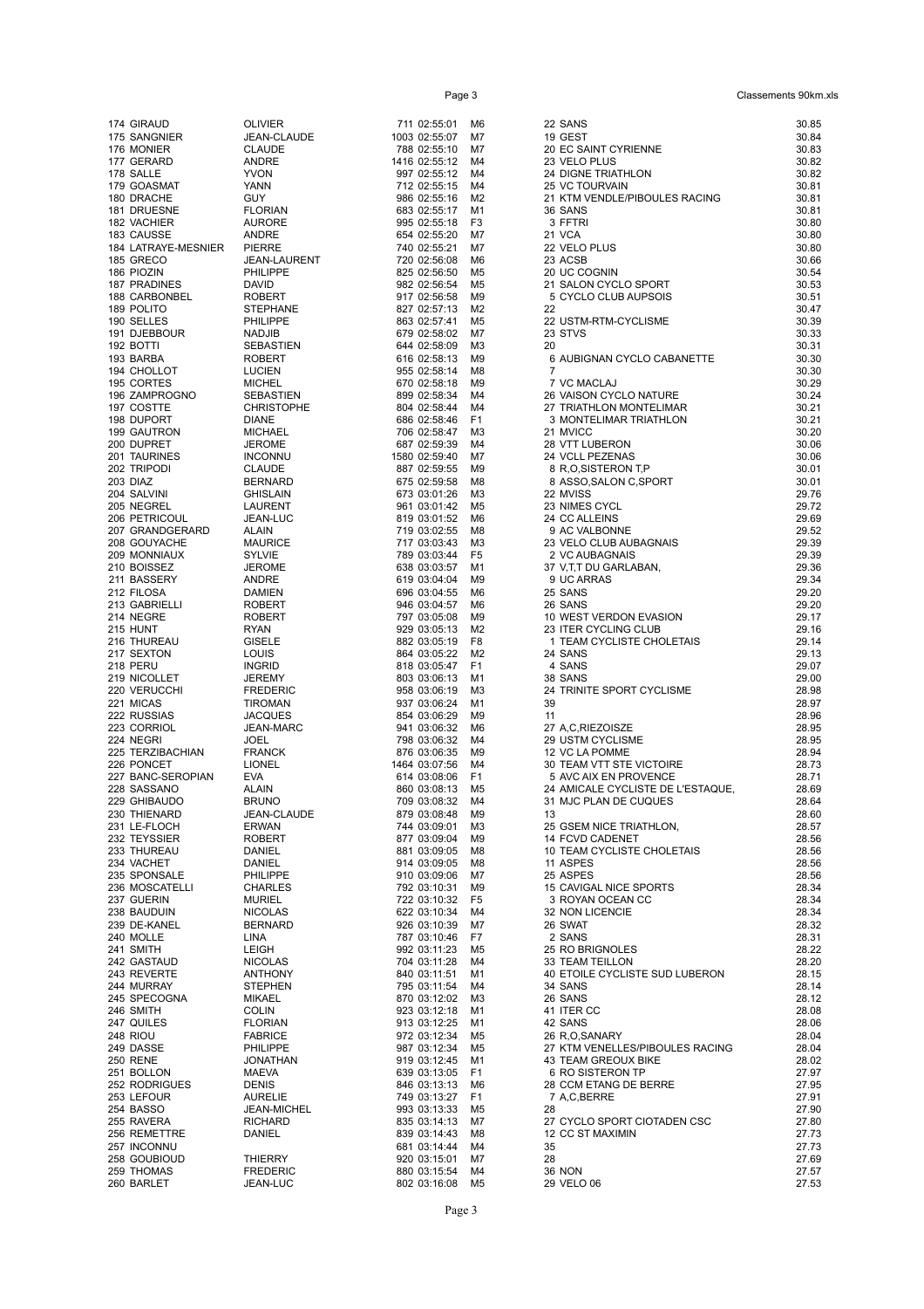| 174 | <b>GIRAUD</b>             |
|-----|---------------------------|
| 175 | SANGNIER                  |
| 176 | <b>MONIER</b>             |
|     | 177 GERARD                |
| 178 | <b>SALLE</b>              |
|     | 179 GOASMAT<br>180 DRACHE |
| 181 | <b>DRUESNE</b>            |
| 182 |                           |
|     | VACHIER<br>183 CAUSSE     |
| 184 | LATRAYE-MESNIER           |
| 185 | <b>GRECO</b>              |
| 186 | <b>PIOZIN</b>             |
| 187 | <b>PRADINES</b>           |
| 188 | CARBONBEL                 |
|     | 189 POLITO                |
| 190 | <b>SELLES</b>             |
| 191 | <b>DJEBBOUR</b>           |
| 192 | BOTTI                     |
| 193 | <b>BARBA</b>              |
| 194 | <b>CHOLLOT</b>            |
| 195 | <b>CORTES</b>             |
| 196 | ZAMPROGNO                 |
| 197 | COSTTE                    |
| 198 | <b>DUPORT</b>             |
| 199 | <b>GAUTRON</b>            |
| 200 | <b>DUPRET</b>             |
| 201 | TAURINES                  |
| 202 | <b>TRIPODI</b>            |
| 203 | DIAZ                      |
| 204 | <b>SALVINI</b>            |
| 205 | <b>NEGREL</b>             |
| 206 | <b>PETRICOUL</b>          |
| 207 | GRANDGERARD               |
| 208 | <b>GOUYACHE</b>           |
| 209 | <b>MONNIAUX</b>           |
| 210 | <b>BOISSEZ</b>            |
| 211 | <b>BASSERY</b>            |
| 212 | <b>FILOSA</b>             |
| 213 | <b>GABRIELLI</b>          |
| 214 | <b>NEGRE</b>              |
| 215 | HUNT                      |
| 216 | THUREAU                   |
| 217 | <b>SEXTON</b>             |
| 218 | PERU                      |
| 219 | <b>NICOLLET</b>           |
| 220 | VERUCCHI                  |
| 221 | <b>MICAS</b>              |
| 222 | <b>RUSSIAS</b>            |
|     | 223 CORRIOL               |
| 224 | <b>NEGRI</b>              |
| 225 | TERZIBACHIAN              |
| 226 | <b>PONCET</b>             |
|     | 227 BANC-SEROPIAN         |
| 228 | SASSANO                   |
| 229 | <b>GHIBAUDO</b>           |
| 230 | THIENARD                  |
| 231 | LE-FLOCH                  |
| 232 | <b>TEYSSIER</b>           |
| 233 | THUREAU                   |
| 234 | <b>VACHET</b>             |
| 235 | SPONSALE                  |
| 236 | MOSCATELLI                |
| 237 | <b>GUERIN</b>             |
| 238 | BAUDUIN                   |
| 239 | DE-KANEL                  |
| 240 | <b>MOLLE</b>              |
| 241 | SMITH                     |
| 242 | <b>GASTAUD</b>            |
| 243 | <b>REVERTE</b>            |
| 244 | <b>MURRAY</b>             |
| 245 | SPECOGNA                  |
| 246 | SMITH                     |
| 247 | QUILES                    |
| 248 | riou                      |
| 249 | DASSE                     |
| 250 | RENE                      |
| 251 | <b>BOLLON</b>             |
| 252 | <b>RODRIGUES</b>          |
| 253 | LEFOUR                    |
| 254 | BASSO                     |
| 255 | RAVERA                    |
| 256 | REMETTRE                  |
| 257 | <b>INCONNU</b>            |
| 258 | <b>GOUBIOUD</b>           |
| 259 | THOMAS                    |
|     | 260 BARLET                |

| /IER                     |
|--------------------------|
| N-CLAUDE                 |
| UDE                      |
| ΙRΕ<br>Ń                 |
| N                        |
| f                        |
| RIAN                     |
| ORE:                     |
| ΙRΕ                      |
| ₹RE                      |
| N-LAURENT<br><b>IPPE</b> |
| ID                       |
| <b>ERT</b>               |
| PHANE                    |
| <b>IPPE</b>              |
| IJIB                     |
| ASTIEN<br><b>ERT</b>     |
| IEN                      |
| HEL                      |
| ASTIEN                   |
| (ISTOPHE                 |
| ۹Е                       |
| HAEL                     |
| ОМЕ                      |
| UMKC<br>UDE              |
| <b>NARD</b>              |
| SLAIN                    |
| RENT                     |
| N-LUC                    |
| ΙN                       |
| JRICE                    |
| √lE<br>OME               |
| ΙRΕ                      |
| 11EN                     |
| <b>ERT</b>               |
| <b>ERT</b>               |
| Ν                        |
| ELE<br>IS                |
| RID                      |
| EMY                      |
| DERIC                    |
| <b>MAN</b>               |
| QUES                     |
| N-MARC                   |
| L<br>NCK                 |
| ۱EL                      |
|                          |
| ΙN                       |
| <b>NO</b>                |
| <b>N-CLAUDE</b>          |
| /AN                      |
| <b>ERT</b><br>IEL        |
| IIEL                     |
| <b>IPPE</b>              |
| RLES                     |
| RIEL                     |
| <b>DLAS</b>              |
| <b>NARD</b>              |
| I<br>ж                   |
| <b>CLAS</b>              |
| <b>HONY</b>              |
| PHEN                     |
| AEL                      |
| IN.                      |
| rian                     |
| RICE<br><b>IPPE</b>      |
| ATHAN                    |
| :VA                      |
| IIS                      |
| :ELIE                    |
| N-MICHEL                 |
| <b>HARD</b><br>IEL       |
|                          |
| ERRY                     |
| DERIC                    |
|                          |

| 1                       | 02:55:01 | M6             |
|-------------------------|----------|----------------|
| 3                       | 02:55:07 | M7             |
| 8                       | 02:55:10 | M7             |
| 6                       | 02:55:12 | M <sub>4</sub> |
| 7                       | 02:55:12 | M4             |
| 2                       | 02:55:15 | M4             |
| 6                       | 02:55:16 | M2             |
|                         |          |                |
| 3                       | 02:55:17 | M1             |
| 5                       | 02:55:18 | F3             |
| 4                       | 02:55:20 | M7             |
| 0                       | 02:55:21 | M7             |
| 0                       | 02:56:08 | M6             |
| 5                       | 02:56:50 | M5             |
| 2                       | 02:56:54 | M5             |
|                         |          |                |
| 7<br>$\overline{7}$     | 02:56:58 | M9             |
|                         | 02:57:13 | M2             |
| 3                       | 02:57:41 | M5             |
| 9                       | 02:58:02 | M7             |
| 4                       | 02:58:09 | ΜЗ             |
| 6                       | 02:58:13 | M9             |
| 5                       | 02:58:14 | M8             |
| 0                       | 02:58:18 | M9             |
| 9                       | 02:58:34 | M4             |
|                         |          |                |
| 4                       | 02:58:44 | M4             |
| 6                       | 02:58:46 | F1             |
| 6                       | 02:58:47 | ΜЗ             |
| 7                       | 02:59:39 | M4             |
| 0                       | 02:59:40 | M7             |
| 7                       | 02:59:55 | M9             |
| 5                       | 02:59:58 | M8             |
| 3                       | 03:01:26 | MЗ             |
| 1                       | 03:01:42 | M5             |
|                         |          |                |
| 9                       | 03:01:52 | M6             |
| 9                       | 03:02:55 | M8             |
| 7                       | 03:03:43 | MЗ             |
| 9                       | 03:03:44 | F5             |
| 8                       | 03:03:57 | M1             |
| 9                       | 03:04:04 | M9             |
| 6                       | 03:04:55 | M6             |
| 6                       | 03:04:57 | M6             |
| 7                       | 03:05:08 | M9             |
|                         |          |                |
| 9                       | 03:05:13 | M2             |
| 2                       | 03:05:19 | F8             |
| 4                       | 03:05:22 | M2             |
| 8                       | 03:05:47 | F <sub>1</sub> |
| 3                       | 03:06:13 | M1             |
| 8                       | 03:06:19 | ΜЗ             |
| 7                       | 03:06:24 | M1             |
| 4                       | 03:06:29 | M <sub>9</sub> |
| 1                       | 03:06:32 | M <sub>6</sub> |
|                         |          |                |
| 8                       | 03:06:32 | M4             |
| 6                       | 03:06:35 | M9             |
| 4                       | 03:07:56 | M4             |
| 4                       | 03:08:06 | F1             |
| 0                       | 03:08:13 | M5             |
| 9                       | 03:08:32 | M <sub>4</sub> |
| 9                       | 03:08:48 | M9             |
| 4                       | 03:09:01 | ΜЗ             |
| 7                       | 03:09:04 | M9             |
|                         | 03:09:05 |                |
| 1                       |          | M8             |
| 4                       | 03:09:05 | M8             |
| 0                       | 03:09:06 | M7             |
| 2                       | 03:10:31 | M9             |
| 2                       | 03:10:32 | F <sub>5</sub> |
| 2                       | 03:10:34 | M <sub>4</sub> |
| 6                       | 03:10:39 | M7             |
| 7                       | 03:10:46 | F7             |
| $\overline{\mathbf{c}}$ | 03:11:23 | M <sub>5</sub> |
|                         | 03:11:28 | M4             |
| 4                       |          |                |
| 0                       | 03:11:51 | M1             |
| 5                       | 03:11:54 | M4             |
| 0                       | 03:12:02 | MЗ             |
| 3                       | 03:12:18 | M1             |
| 3                       | 03:12:25 | M1             |
| 2                       | 03:12:34 | M5             |
| 7                       | 03:12:34 | M5             |
| 9                       | 03:12:45 | M1             |
| 9                       | 03:13:05 | F1             |
|                         |          |                |
| 6                       | 03:13:13 | M6             |
| 9                       | 03:13:27 | F1             |
| 3                       | 03:13:33 | M5             |
| 5                       | 03:14:13 | M7             |
| 9                       | 03:14:43 | M8             |
| 1                       | 03:14:44 | M4             |
| 0                       | 03:15:01 | M7             |
| 0                       | 03:15:54 | M4             |
| 2                       | 03:16:08 | M5             |
|                         |          |                |

|                                                |                                    | Page 3                                                                                                                       |                                                                                               | Classements 90km.xls |
|------------------------------------------------|------------------------------------|------------------------------------------------------------------------------------------------------------------------------|-----------------------------------------------------------------------------------------------|----------------------|
| 174 GIRAUD                                     | <b>OLIVIER</b>                     | 711 02:55:01 M6                                                                                                              | 22 SANS                                                                                       | 30.85                |
| 175 SANGNIER                                   | JEAN-CLAUDE                        | 1003 02:55:07 M7                                                                                                             | 19 GEST                                                                                       | 30.84                |
| 176 MONIER                                     | CLAUDE                             | 788 02:55:10 M7                                                                                                              | 20 EC SAINT CYRIENNE                                                                          | 30.83                |
| 177 GERARD<br>178 SALLE                        | ANDRE<br><b>YVON</b>               | 1416 02:55:12 M4<br>997 02:55:12 M4                                                                                          | 23 VELO PLUS                                                                                  | 30.82<br>30.82       |
| 179 GOASMAT                                    |                                    |                                                                                                                              | 23 VELO PLUS<br>24 DIGNE TRIATHLON<br>25 VC TOURVAIN<br><b>25 VC TOURVAIN</b>                 | 30.81                |
| 180 DRACHE                                     | YANN<br>GUY<br>FLORIAN             | 712 02:55:15 M4<br>986 02:55:16 M2                                                                                           | 21 KTM VENDLE/PIBOULES RACING                                                                 | 30.81                |
| 181 DRUESNE                                    |                                    | 986 02:55:16<br>683 02:55:17 M1<br>995 02:55:18 F3<br>654 02:55:20 M7<br>740 02:55:21 M7<br>720 02:56:08 M6                  | 36 SANS                                                                                       | 30.81                |
| 182 VACHIER                                    | AURORE                             |                                                                                                                              | 3 FFTRI                                                                                       | 30.80                |
| 183 CAUSSE                                     | ANDRE                              |                                                                                                                              | 21 VCA                                                                                        | 30.80                |
| 184 LATRAYE-MESNIER                            | PIERRE                             |                                                                                                                              | 22 VELO PLUS                                                                                  | 30.80                |
| 185 GRECO<br>186 PIOZIN                        | JEAN-LAURENT<br>PHILIPPE           | 825 02:56:50<br>M5                                                                                                           | 23 ACSB<br>20 UC COGNIN                                                                       | 30.66<br>30.54       |
| 187 PRADINES                                   | DAVID                              | 982 02:56:54 M5                                                                                                              | 21 SALON CYCLO SPORT                                                                          | 30.53                |
| 188 CARBONBEL                                  | ROBERT                             | 917 02:56:58 M9                                                                                                              | 5 CYCLO CLUB AUPSOIS                                                                          | 30.51                |
| 189 POLITO                                     |                                    | 827 02:57:13<br>M2                                                                                                           | 22                                                                                            | 30.47                |
| 190 SELLES                                     | STEPHANE<br>PHILIPPE               |                                                                                                                              | 22 USTM-RTM-CYCLISME                                                                          | 30.39                |
| 191 DJEBBOUR                                   | NADJIB                             | 863 02:57:41 M5<br>679 02:58:02 M7                                                                                           | 23 STVS                                                                                       | 30.33                |
| 192 BOTTI                                      | SEBASTIEN                          | 644 02:58:09<br>ΜЗ                                                                                                           | 20                                                                                            | 30.31                |
| 193 BARBA                                      | ROBERT                             | 616 02:58:13 M9<br>616  02:58:13      M9<br>955  02:58:14      M8                                                            | 6 AUBIGNAN CYCLO CABANETTE<br>$\overline{7}$                                                  | 30.30                |
| 194 CHOLLOT<br>195 CORTES                      | LUCIEN<br><b>MICHEL</b>            | 670 02:58:18<br>M9                                                                                                           | 7<br>26 VAISON CYCLO NATURE<br>27 TRIATHLON MONTELIMAR<br>---^-'TELLMAR TRIATHLON             | 30.30<br>30.29       |
| 196 ZAMPROGNO                                  | <b>SEBASTIEN</b>                   | 899 02:58:34 M4                                                                                                              |                                                                                               | 30.24                |
| 197 COSTTE                                     | CHRISTOPHE                         | 899 02:58:34    M4<br>804  02:58:44    M4                                                                                    |                                                                                               | 30.21                |
| 198 DUPORT                                     | DIANE                              | 686 02:58:46 F1                                                                                                              |                                                                                               | 30.21                |
| 199 GAUTRON                                    | MICHAEL                            | 706 02:58:47 M3                                                                                                              | 21 MVICC                                                                                      | 30.20                |
| 200 DUPRET                                     | JEROME                             | 687 02:59:39 M4                                                                                                              |                                                                                               | 30.06                |
| 201 TAURINES                                   | INCONNU                            | M4<br>887 02:59:40 M7<br>675 02:59:56 M9<br>673 03:01:26 M2<br>961 C2 M61                                                    | ے کہ تاب LUBERON<br>24 VCLL PEZENAS<br>8 R,O,SISTERON T,P<br>8 ASSO,SALON C,SPORT<br>22 MVISS | 30.06                |
| 202 TRIPODI                                    | CLAUDE                             |                                                                                                                              |                                                                                               | 30.01                |
| 203 DIAZ                                       | BERNARD                            |                                                                                                                              |                                                                                               | 30.01                |
| 204 SALVINI<br>205 NEGREL                      | GHISLAIN<br>LAURENT                |                                                                                                                              | 23 NIMES CYCL                                                                                 | 29.76<br>29.72       |
| 205 NEGREL<br>206 PETRICOUL<br>207 GRANDGERARD | JEAN-LUC                           | 819 03:01:52 M6                                                                                                              | 24 CC ALLEINS                                                                                 | 29.69                |
|                                                | ALAIN                              | 719 03:02:55 M8                                                                                                              | 9 AC VALBONNE                                                                                 | 29.52                |
| 208 GOUYACHE                                   | MAURICE                            |                                                                                                                              | 23 VELO CLUB AUBAGNAIS<br>2 VC AUBAGNAIS                                                      | 29.39                |
| 209 MONNIAUX                                   | SYLVIE                             |                                                                                                                              | 2 VC AUBAGNAIS                                                                                | 29.39                |
| 210 BOISSEZ                                    | SIL.<br>JEROME                     | 717 03:03:43 M3<br>789 03:03:44 F5<br>638 03:03:57 M1                                                                        | 37 V,T,T DU GARLABAN,<br>9 UC ARRAS<br>25 SANS<br>26 SANS                                     | 29.36                |
| 211 BASSERY                                    | ANDRE                              |                                                                                                                              |                                                                                               | 29.34                |
| 212 FILOSA                                     | DAMIEN                             |                                                                                                                              |                                                                                               | 29.20                |
| 213 GABRIELLI                                  | ROBERT                             |                                                                                                                              | 26 SANS                                                                                       | 29.20                |
| 214 NEGRE<br>215 HUNT                          | ROBERT<br>RYAN                     | 619 03:04:04<br>696 03:04:55<br>696 03:04:55<br>946 03:04:57<br>797 03:05:08<br>892 03:05:13<br>882 03:05:19<br>882 03:05:19 | 10  WEST VERDON EVASION<br>23  ITER CYCLING CLUB<br>23 ITER CYCLING CLUB                      | 29.17<br>29.16       |
| 216 THUREAU                                    | GISELE                             |                                                                                                                              | 1 TEAM CYCLISTE CHOLETAIS                                                                     | 29.14                |
| 217 SEXTON                                     | LOUIS                              | 864 03:05:22 M2                                                                                                              | 24 SANS                                                                                       | 29.13                |
| 218 PERU                                       | INGRID                             | 818 03:05:47 F1                                                                                                              | 4 SANS                                                                                        | 29.07                |
| 219 NICOLLET                                   | JEREMY                             | 803 03:06:13 M1                                                                                                              | 38 SANS                                                                                       | 29.00                |
| 220 VERUCCHI                                   | FREDERIC                           | 958 03:06:19<br>ΜЗ<br>958  03:06:19       M3<br>937  03:06:24      M1<br>854  03:06:29     M9                                | 24 TRINITE SPORT CYCLISME                                                                     | 28.98                |
| 221 MICAS                                      | <b>TIROMAN</b>                     |                                                                                                                              | 39                                                                                            | 28.97                |
| 222 RUSSIAS<br>223 CORRIOL                     | <b>JACQUES</b><br><b>JEAN-MARC</b> | 941 03:06:32 M6                                                                                                              | 11<br>27 A,C,RIEZOISZE                                                                        | 28.96<br>28.95       |
| 224 NEGRI                                      | <b>JOEL</b>                        | 798 03:06:32 M4                                                                                                              | 29 USTM CYCLISME                                                                              | 28.95                |
| 225 TERZIBACHIAN                               | <b>FRANCK</b>                      | 876 03:06:35 M9                                                                                                              | 12 VC LA POMME                                                                                | 28.94                |
| 226 PONCET                                     | <b>LIONEL</b>                      | 1464 03:07:56 M4                                                                                                             | 30 TEAM VTT STE VICTOIRE                                                                      | 28.73                |
| 227 BANC-SEROPIAN                              | <b>EVA</b>                         | 614 03:08:06 F1                                                                                                              | 5 AVC AIX EN PROVENCE                                                                         | 28.71                |
| 228 SASSANO                                    | <b>ALAIN</b>                       | 860 03:08:13<br>M5                                                                                                           | 24 AMICALE CYCLISTE DE L'ESTAQUE,                                                             | 28.69                |
| 229 GHIBAUDO                                   | <b>BRUNO</b>                       | 709 03:08:32<br>M4                                                                                                           | 31 MJC PLAN DE CUQUES                                                                         | 28.64                |
| 230 THIENARD                                   | JEAN-CLAUDE                        | 879 03:08:48<br>M9                                                                                                           | 13                                                                                            | 28.60                |
| 231 LE-FLOCH<br>232 TEYSSIER                   | ERWAN<br><b>ROBERT</b>             | 744 03:09:01<br>M3<br>877 03:09:04<br>M9                                                                                     | 25 GSEM NICE TRIATHLON,<br><b>14 FCVD CADENET</b>                                             | 28.57<br>28.56       |
| 233 THUREAU                                    | DANIEL                             | 881 03:09:05<br>M8                                                                                                           | 10 TEAM CYCLISTE CHOLETAIS                                                                    | 28.56                |
| 234 VACHET                                     | DANIEL                             | 914 03:09:05<br>M8                                                                                                           | 11 ASPES                                                                                      | 28.56                |
| 235 SPONSALE                                   | <b>PHILIPPE</b>                    | 910 03:09:06<br>M7                                                                                                           | 25 ASPES                                                                                      | 28.56                |
| 236 MOSCATELLI                                 | <b>CHARLES</b>                     | 792 03:10:31<br>M9                                                                                                           | 15 CAVIGAL NICE SPORTS                                                                        | 28.34                |
| 237 GUERIN                                     | <b>MURIEL</b>                      | 722 03:10:32<br>F <sub>5</sub>                                                                                               | 3 ROYAN OCEAN CC                                                                              | 28.34                |
| 238 BAUDUIN                                    | <b>NICOLAS</b>                     | 622 03:10:34<br>M4                                                                                                           | 32 NON LICENCIE                                                                               | 28.34                |
| 239 DE-KANEL<br>240 MOLLE                      | <b>BERNARD</b>                     | 926 03:10:39<br>M7                                                                                                           | 26 SWAT<br>2 SANS                                                                             | 28.32<br>28.31       |
| 241 SMITH                                      | LINA<br>LEIGH                      | 787 03:10:46<br>F7<br>992 03:11:23<br>M5                                                                                     | 25 RO BRIGNOLES                                                                               | 28.22                |
| 242 GASTAUD                                    | <b>NICOLAS</b>                     | 704 03:11:28<br>M4                                                                                                           | 33 TEAM TEILLON                                                                               | 28.20                |
| 243 REVERTE                                    | <b>ANTHONY</b>                     | 840 03:11:51<br>M1                                                                                                           | 40 ETOILE CYCLISTE SUD LUBERON                                                                | 28.15                |
| 244 MURRAY                                     | <b>STEPHEN</b>                     | 795 03:11:54<br>M4                                                                                                           | 34 SANS                                                                                       | 28.14                |
| 245 SPECOGNA                                   | MIKAEL                             | 870 03:12:02<br>M3                                                                                                           | 26 SANS                                                                                       | 28.12                |
| 246 SMITH                                      | <b>COLIN</b>                       | 923 03:12:18<br>M1                                                                                                           | 41 ITER CC                                                                                    | 28.08                |
| 247 QUILES                                     | <b>FLORIAN</b>                     | 913 03:12:25<br>M1                                                                                                           | 42 SANS                                                                                       | 28.06                |
| 248 RIOU                                       | <b>FABRICE</b>                     | 972 03:12:34<br>M5                                                                                                           | 26 R,O,SANARY                                                                                 | 28.04                |
| 249 DASSE<br>250 RENE                          | PHILIPPE                           | 987 03:12:34<br>M5<br>919 03:12:45<br>M1                                                                                     | 27 KTM VENELLES/PIBOULES RACING<br><b>43 TEAM GREOUX BIKE</b>                                 | 28.04<br>28.02       |
| 251 BOLLON                                     | JONATHAN<br><b>MAEVA</b>           | 639 03:13:05<br>F <sub>1</sub>                                                                                               | 6 RO SISTERON TP                                                                              | 27.97                |
| 252 RODRIGUES                                  | <b>DENIS</b>                       | 846 03:13:13<br>M6                                                                                                           | 28 CCM ETANG DE BERRE                                                                         | 27.95                |
| 253 LEFOUR                                     | <b>AURELIE</b>                     | 749 03:13:27<br>F <sub>1</sub>                                                                                               | 7 A,C, BERRE                                                                                  | 27.91                |
| 254 BASSO                                      | <b>JEAN-MICHEL</b>                 | 993 03:13:33<br>M5                                                                                                           | 28                                                                                            | 27.90                |
| 255 RAVERA                                     | <b>RICHARD</b>                     | 835 03:14:13<br>M7                                                                                                           | 27 CYCLO SPORT CIOTADEN CSC                                                                   | 27.80                |
| 256 REMETTRE                                   | DANIEL                             | 839 03:14:43<br>M8                                                                                                           | 12 CC ST MAXIMIN                                                                              | 27.73                |
| 257 INCONNU                                    |                                    | 681 03:14:44<br>M4                                                                                                           | 35                                                                                            | 27.73                |
| 258 GOUBIOUD<br>259 THOMAS                     | THIERRY<br><b>FREDERIC</b>         | 920 03:15:01<br>M7<br>880 03:15:54<br>M4                                                                                     | 28<br><b>36 NON</b>                                                                           | 27.69<br>27.57       |
| 260 BARLET                                     | JEAN-LUC                           | 802 03:16:08<br>M5                                                                                                           | 29 VELO 06                                                                                    | 27.53                |
|                                                |                                    |                                                                                                                              |                                                                                               |                      |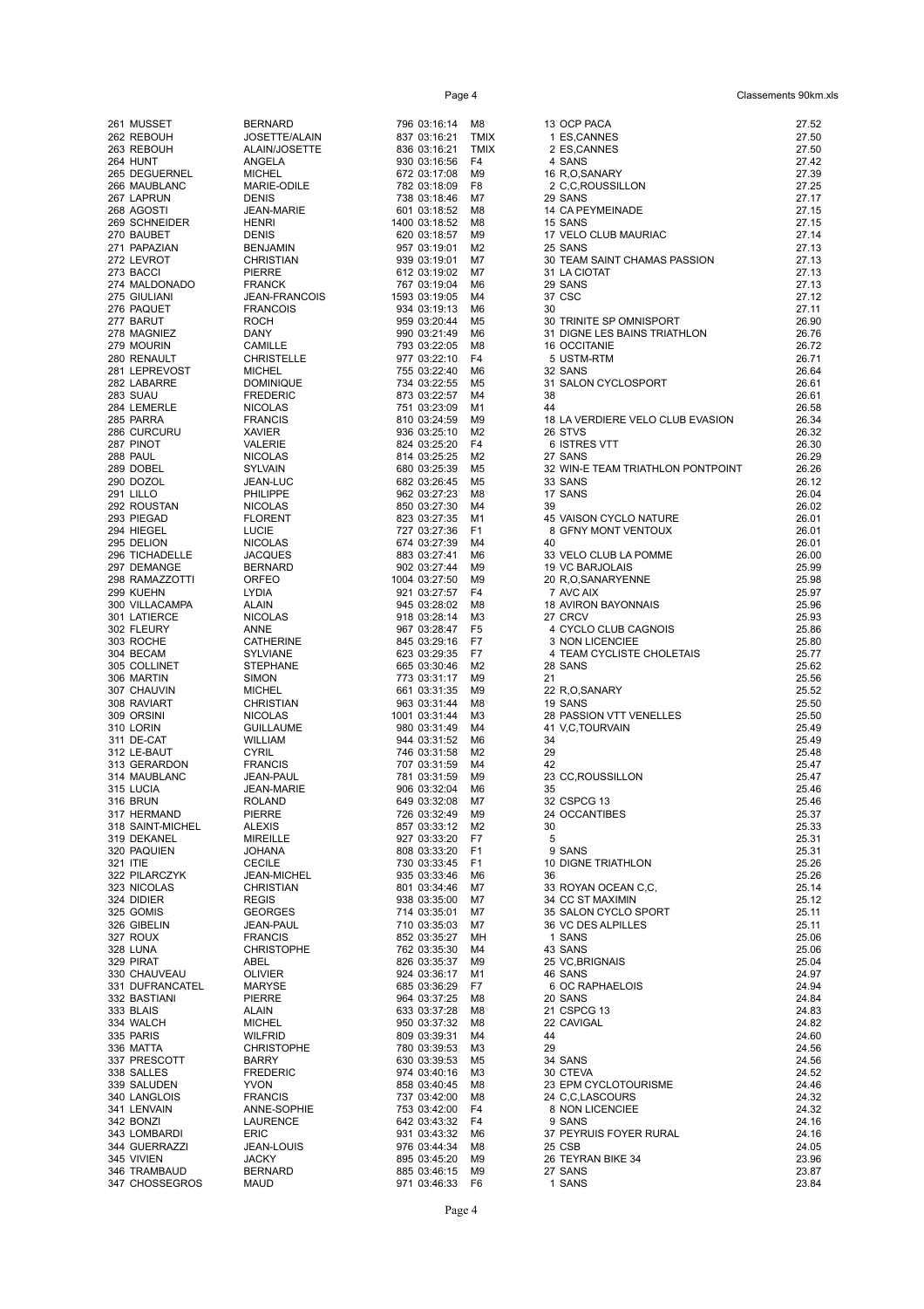Page 4 Classements 90km.xls

| 261 MUSSET                    | <b>BERNARD</b>                     | 796 03:16:14 M8                    |              | 13 OCP PACA                                  | 27.52          |
|-------------------------------|------------------------------------|------------------------------------|--------------|----------------------------------------------|----------------|
| 262 REBOUH<br>263 REBOUH      | JOSETTE/ALAIN<br>ALAIN/JOSETTE     | 837 03:16:21<br>836 03:16:21       | TMIX<br>TMIX | 1 ES,CANNES<br>2 ES, CANNES                  | 27.50<br>27.50 |
| 264 HUNT                      | ANGELA                             | 930 03:16:56                       | F4           | 4 SANS                                       | 27.42          |
| 265 DEGUERNEL                 | <b>MICHEL</b>                      | 672 03:17:08                       | M9           | 16 R,O,SANARY                                | 27.39          |
| 266 MAUBLANC<br>267 LAPRUN    | MARIE-ODILE<br><b>DENIS</b>        | 782 03:18:09<br>738 03:18:46       | F8<br>M7     | 2 C,C,ROUSSILLON<br>29 SANS                  | 27.25<br>27.17 |
| 268 AGOSTI                    | <b>JEAN-MARIE</b>                  | 601 03:18:52                       | M8           | 14 CA PEYMEINADE                             | 27.15          |
| 269 SCHNEIDER                 | <b>HENRI</b>                       | 1400 03:18:52                      | M8           | 15 SANS                                      | 27.15          |
| 270 BAUBET<br>271 PAPAZIAN    | DENIS<br>BENJAMIN                  | 620 03:18:57<br>957 03:19:01       | M9<br>M2     | 17 VELO CLUB MAURIAC<br>25 SANS              | 27.14<br>27.13 |
| 272 LEVROT                    | CHRISTIAN                          | 939 03:19:01                       | M7           | 30 TEAM SAINT CHAMAS PASSION                 | 27.13          |
| 273 BACCI                     | PIERRE                             | 612 03:19:02                       | M7           | 31 LA CIOTAT                                 | 27.13          |
| 274 MALDONADO<br>275 GIULIANI | FRANCK<br><b>JEAN-FRANCOIS</b>     | 767 03:19:04<br>1593 03:19:05      | M6<br>M4     | 29 SANS<br>37 CSC                            | 27.13<br>27.12 |
| 276 PAQUET                    | <b>FRANCOIS</b>                    | 934 03:19:13                       | M6           | 30                                           | 27.11          |
| 277 BARUT                     | <b>ROCH</b>                        | 959 03:20:44                       | M5           | 30 TRINITE SP OMNISPORT                      | 26.90          |
| 278 MAGNIEZ<br>279 MOURIN     | DANY<br>CAMILLE                    | 990 03:21:49<br>793 03:22:05       | M6<br>M8     | 31 DIGNE LES BAINS TRIATHLON<br>16 OCCITANIE | 26.76<br>26.72 |
| 280 RENAULT                   | CHRISTELLE                         | 977 03:22:10                       | F4           | 5 USTM-RTM                                   | 26.71          |
| 281 LEPREVOST                 | <b>MICHEL</b>                      | 755 03:22:40                       | M6           | 32 SANS                                      | 26.64          |
| 282 LABARRE<br>283 SUAU       | DOMINIQUE                          | 734 03:22:55<br>873 03:22:57       | M5<br>M4     | 31 SALON CYCLOSPORT<br>38                    | 26.61          |
| 284 LEMERLE                   | FREDERIC<br><b>NICOLAS</b>         | 751 03:23:09                       | M1           | 44                                           | 26.61<br>26.58 |
| 285 PARRA                     | <b>FRANCIS</b>                     | 810 03:24:59                       | M9           | 18 LA VERDIERE VELO CLUB EVASION             | 26.34          |
| 286 CURCURU                   | XAVIER                             | 936 03:25:10                       | M2           | 26 STVS                                      | 26.32          |
| 287 PINOT<br><b>288 PAUL</b>  | VALERIE<br>NICOLAS                 | 824 03:25:20<br>814 03:25:25       | F4<br>M2     | 6 ISTRES VTT<br>27 SANS                      | 26.30<br>26.29 |
| 289 DOBEL                     | SYLVAIN                            | 680 03:25:39                       | M5           | 32 WIN-E TEAM TRIATHLON PONTPOINT            | 26.26          |
| 290 DOZOL                     | JEAN-LUC<br>PHILIPPE<br>NICOLAS    | 682 03:26:45                       | M5           | 33 SANS                                      | 26.12          |
| 291 LILLO<br>292 ROUSTAN      |                                    | 962 03:27:23<br>850 03:27:30       | M8<br>M4     | 17 SANS<br>39                                | 26.04<br>26.02 |
| 293 PIEGAD                    | <b>FLORENT</b>                     | 823 03:27:35                       | M1           | 45 VAISON CYCLO NATURE                       | 26.01          |
| 294 HIEGEL                    | LUCIE                              | 727 03:27:36                       | F1           | 8 GFNY MONT VENTOUX                          | 26.01          |
| 295 DELION<br>296 TICHADELLE  | <b>NICOLAS</b><br><b>JACQUES</b>   | 674 03:27:39<br>883 03:27:41       | M4<br>M6     | 40<br>33 VELO CLUB LA POMME                  | 26.01<br>26.00 |
| 297 DEMANGE                   | BERNARD                            | 902 03:27:44                       | M9           | 19 VC BARJOLAIS                              | 25.99          |
| 298 RAMAZZOTTI                | ORFEO                              | 1004 03:27:50                      | M9           | 20 R,O,SANARYENNE                            | 25.98          |
| 299 KUEHN<br>300 VILLACAMPA   | LYDIA                              | 921 03:27:57<br>945 03:28:02       | F4<br>M8     | 7 AVC AIX<br><b>18 AVIRON BAYONNAIS</b>      | 25.97<br>25.96 |
| 301 LATIERCE                  | <b>ALAIN<br/>ALAIN<br/>NICOLAS</b> | 918 03:28:14                       | мз           | 27 CRCV                                      | 25.93          |
| 302 FLEURY                    | ANNE                               | 967 03:28:47 F5                    |              | 4 CYCLO CLUB CAGNOIS                         | 25.86          |
| 303 ROCHE                     | CATHERINE                          | 845 03:29:16<br>623 03:29:35 F7    | F7           | 3 NON LICENCIEE<br>4 TEAM CYCLISTE CHOLETAIS | 25.80<br>25.77 |
| 304 BECAM<br>305 COLLINET     | SYLVIANE<br><b>STEPHANE</b>        | 665 03:30:46 M2                    |              | 28 SANS                                      | 25.62          |
| 306 MARTIN                    | SIMON                              | 773 03:31:17                       | M9           | 21                                           | 25.56          |
| 307 CHAUVIN                   | <b>MICHEL</b>                      | 661 03:31:35                       | M9           | 22 R,O,SANARY                                | 25.52          |
| 308 RAVIART<br>309 ORSINI     | CHRISTIAN<br><b>NICOLAS</b>        | 963 03:31:44<br>1001 03:31:44      | M8<br>ΜЗ     | 19 SANS<br>28 PASSION VTT VENELLES           | 25.50<br>25.50 |
| 310 LORIN                     | GUILLAUME                          | 980 03:31:49                       | M4           | 41 V,C,TOURVAIN                              | 25.49          |
| 311 DE-CAT                    | WILLIAM                            | 944 03:31:52                       | M6           | 34                                           | 25.49          |
| 312 LE-BAUT<br>313 GERARDON   | CYRIL<br><b>CYNIL</b><br>FRANCIS   | 746 03:31:58<br>707 03:31:59       | M2<br>M4     | 29<br>42                                     | 25.48<br>25.47 |
| 314 MAUBLANC                  | JEAN-PAUL                          | 781 03:31:59                       | M9           | 23 CC, ROUSSILLON                            | 25.47          |
| 315 LUCIA                     | <b>JEAN-MARIE</b>                  | 906 03:32:04                       | M6           | 35                                           | 25.46          |
| 316 BRUN<br>317 HERMAND       | <b>ROLAND</b><br>PIERRE            | 649 03:32:08<br>726 03:32:49 M9    | M7           | 32 CSPCG 13<br>24 OCCANTIBES                 | 25.46<br>25.37 |
| 318 SAINT-MICHEL              | <b>ALEXIS</b>                      | 857 03:33:12 M2                    |              | 30                                           | 25.33          |
| 319 DEKANEL                   | <b>MIREILLE</b>                    | 927 03:33:20                       | F7           | 5                                            | 25.31          |
| 320 PAQUIEN<br>321 ITIE       | <b>JOHANA</b><br><b>CECILE</b>     | 808 03:33:20 F1<br>730 03:33:45 F1 |              | 9 SANS<br><b>10 DIGNE TRIATHLON</b>          | 25.31<br>25.26 |
| 322 PILARCZYK                 | JEAN-MICHEL                        | 935 03:33:46                       | M6           | 36                                           | 25.26          |
| 323 NICOLAS                   | <b>CHRISTIAN</b>                   | 801 03:34:46                       | M7           | 33 ROYAN OCEAN C.C.                          | 25.14          |
| 324 DIDIER<br>325 GOMIS       | <b>REGIS</b><br><b>GEORGES</b>     | 938 03:35:00<br>714 03:35:01       | M7<br>M7     | 34 CC ST MAXIMIN<br>35 SALON CYCLO SPORT     | 25.12<br>25.11 |
| 326 GIBELIN                   | JEAN-PAUL                          | 710 03:35:03                       | M7           | 36 VC DES ALPILLES                           | 25.11          |
| 327 ROUX                      | <b>FRANCIS</b>                     | 852 03:35:27                       | MН           | 1 SANS                                       | 25.06          |
| 328 LUNA<br>329 PIRAT         | <b>CHRISTOPHE</b><br>ABEL          | 762 03:35:30<br>826 03:35:37       | M4<br>M9     | 43 SANS<br>25 VC, BRIGNAIS                   | 25.06<br>25.04 |
| 330 CHAUVEAU                  | <b>OLIVIER</b>                     | 924 03:36:17                       | M1           | 46 SANS                                      | 24.97          |
| 331 DUFRANCATEL               | <b>MARYSE</b>                      | 685 03:36:29                       | F7           | 6 OC RAPHAELOIS                              | 24.94          |
| 332 BASTIANI<br>333 BLAIS     | PIERRE                             | 964 03:37:25<br>633 03:37:28       | M8           | 20 SANS<br>21 CSPCG 13                       | 24.84<br>24.83 |
| 334 WALCH                     | ALAIN<br><b>MICHEL</b>             | 950 03:37:32                       | M8<br>M8     | 22 CAVIGAL                                   | 24.82          |
| 335 PARIS                     | <b>WILFRID</b>                     | 809 03:39:31                       | M4           | 44                                           | 24.60          |
| 336 MATTA                     | <b>CHRISTOPHE</b>                  | 780 03:39:53                       | ΜЗ           | 29                                           | 24.56          |
| 337 PRESCOTT<br>338 SALLES    | <b>BARRY</b><br><b>FREDERIC</b>    | 630 03:39:53<br>974 03:40:16       | M5<br>ΜЗ     | 34 SANS<br>30 CTEVA                          | 24.56<br>24.52 |
| 339 SALUDEN                   | <b>YVON</b>                        | 858 03:40:45                       | M8           | 23 EPM CYCLOTOURISME                         | 24.46          |
| 340 LANGLOIS                  | <b>FRANCIS</b>                     | 737 03:42:00                       | M8           | 24 C,C,LASCOURS                              | 24.32          |
| 341 LENVAIN<br>342 BONZI      | ANNE-SOPHIE<br>LAURENCE            | 753 03:42:00 F4<br>642 03:43:32 F4 |              | 8 NON LICENCIEE<br>9 SANS                    | 24.32<br>24.16 |
| 343 LOMBARDI                  | <b>ERIC</b>                        | 931 03:43:32 M6                    |              | 37 PEYRUIS FOYER RURAL                       | 24.16          |
| 344 GUERRAZZI                 | JEAN-LOUIS                         | 976 03:44:34                       | M8           | 25 CSB                                       | 24.05          |
| 345 VIVIEN<br>346 TRAMBAUD    | <b>JACKY</b><br><b>BERNARD</b>     | 895 03:45:20<br>885 03:46:15 M9    | M9           | 26 TEYRAN BIKE 34<br>27 SANS                 | 23.96<br>23.87 |
| 347 CHOSSEGROS                | MAUD                               | 971 03:46:33 F6                    |              | 1 SANS                                       | 23.84          |
|                               |                                    |                                    |              |                                              |                |